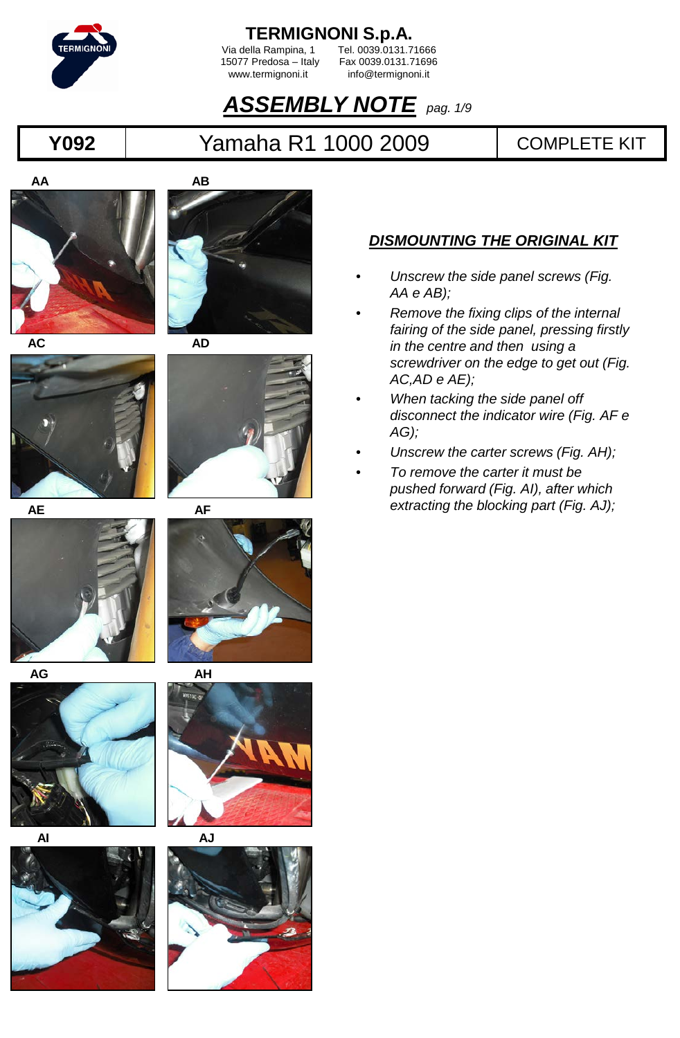

Via della Rampina, 1 Tel. 0039.0131.71666<br>15077 Predosa – Italy Fax 0039.0131.71696 5077 Predosa – Italy Fax 0039.0131.71696<br>www.termignoni.it info@termignoni.it info@termignoni.it

#### *ASSEMBLY NOTE pag. 1/9*

#### **Y092** | Yamaha R1 1000 2009 | COMPLETE KIT























#### *DISMOUNTING THE ORIGINAL KIT*

- *Unscrew the side panel screws (Fig. AA e AB);*
- *Remove the fixing clips of the internal fairing of the side panel, pressing firstly in the centre and then using a screwdriver on the edge to get out (Fig. AC,AD e AE);*
- *When tacking the side panel off disconnect the indicator wire (Fig. AF e AG);*
- *Unscrew the carter screws (Fig. AH);*
- *To remove the carter it must be pushed forward (Fig. AI), after which extracting the blocking part (Fig. AJ);*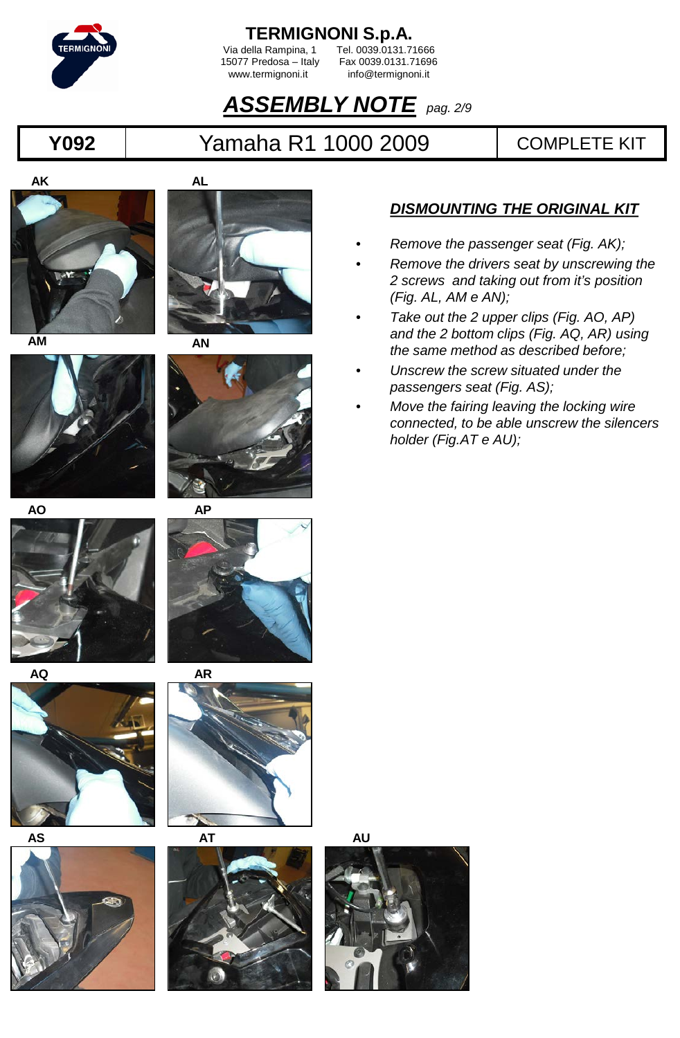

Via della Rampina, 1<br>15077 Predosa – Italy

5077 Predosa – Italy Fax 0039.0131.71696<br>www.termignoni.it info@termignoni.it info@termignoni.it

### *ASSEMBLY NOTE pag. 2/9*

### **Y092** | Yamaha R1 1000 2009 | COMPLETE KIT











- *DISMOUNTING THE ORIGINAL KIT*
- *Remove the passenger seat (Fig. AK);*
- *Remove the drivers seat by unscrewing the 2 screws and taking out from it's position (Fig. AL, AM e AN);*
- *Take out the 2 upper clips (Fig. AO, AP) and the 2 bottom clips (Fig. AQ, AR) using the same method as described before;*
- *Unscrew the screw situated under the passengers seat (Fig. AS);*
- *Move the fairing leaving the locking wire connected, to be able unscrew the silencers holder (Fig.AT e AU);*

















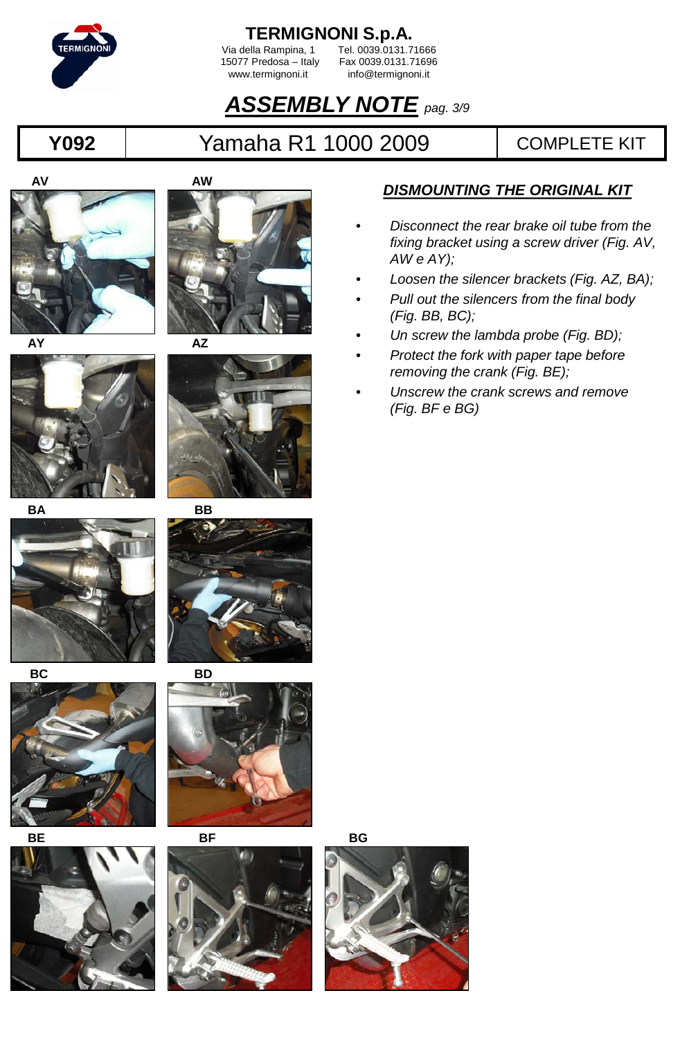

Via della Rampina, 1 Tel. 0039.0131.71666<br>15077 Predosa – Italy Fax 0039.0131.71696 5077 Predosa – Italy Fax 0039.0131.71696<br>www.termignoni.it info@termignoni.it info@termignoni.it

## *ASSEMBLY NOTE pag. 3/9*

## **Y092** Yamaha R1 1000 2009 COMPLETE KIT























#### *DISMOUNTING THE ORIGINAL KIT*

- *Disconnect the rear brake oil tube from the fixing bracket using a screw driver (Fig. AV, AW e AY);*
- *Loosen the silencer brackets (Fig. AZ, BA);*
- *Pull out the silencers from the final body (Fig. BB, BC);*
- *Un screw the lambda probe (Fig. BD);*
- *Protect the fork with paper tape before removing the crank (Fig. BE);*
- *Unscrew the crank screws and remove (Fig. BF e BG)*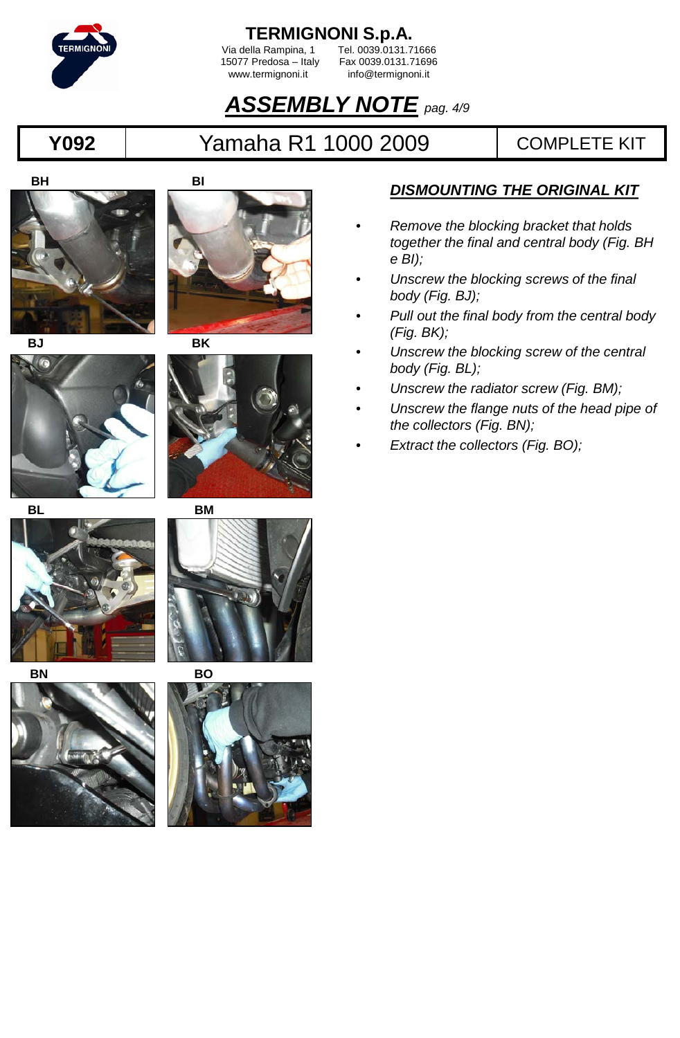

Via della Rampina, 1 Tel. 0039.0131.71666<br>15077 Predosa – Italy Fax 0039.0131.71696 5077 Predosa – Italy Fax 0039.0131.71696<br>www.termignoni.it info@termignoni.it info@termignoni.it

## *ASSEMBLY NOTE pag. 4/9*

## **Y092** | Yamaha R1 1000 2009 | COMPLETE KIT

**BH**

**G** 





**BJ BK**











#### *DISMOUNTING THE ORIGINAL KIT*

- *Remove the blocking bracket that holds together the final and central body (Fig. BH e BI);*
- *Unscrew the blocking screws of the final body (Fig. BJ);*
- *Pull out the final body from the central body (Fig. BK);*
- *Unscrew the blocking screw of the central body (Fig. BL);*
- *Unscrew the radiator screw (Fig. BM);*
- *Unscrew the flange nuts of the head pipe of the collectors (Fig. BN);*
- *Extract the collectors (Fig. BO);*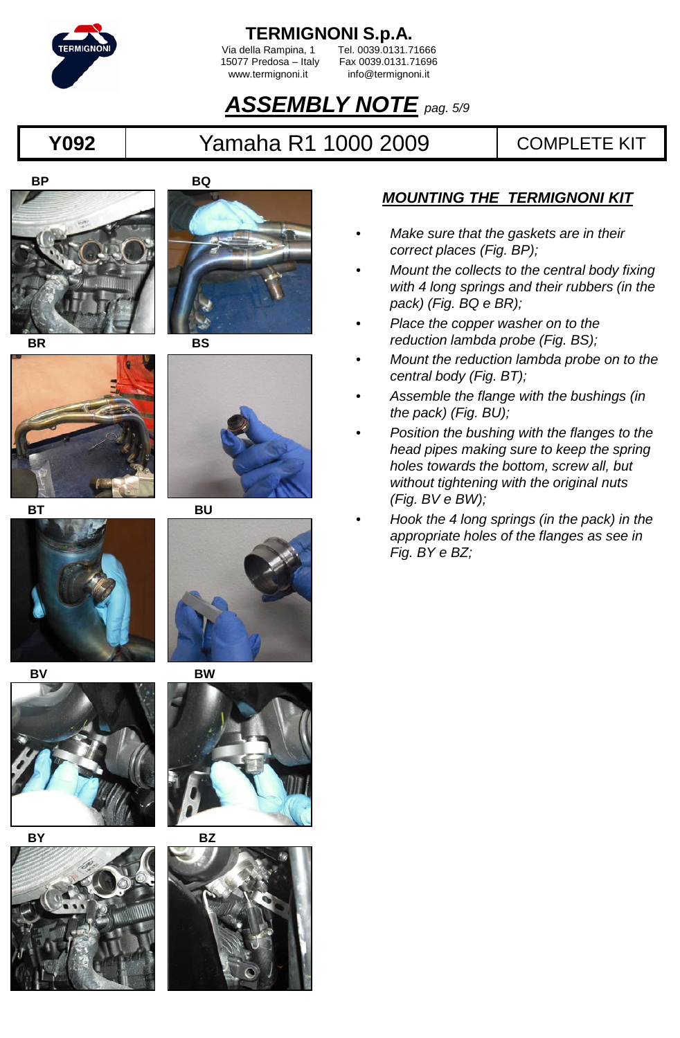

Via della Rampina, 1<br>15077 Predosa – Italy

5077 Predosa – Italy Fax 0039.0131.71696<br>www.termignoni.it info@termignoni.it info@termignoni.it

## *ASSEMBLY NOTE pag. 5/9*

## **Y092** Yamaha R1 1000 2009 COMPLETE KIT























- *Make sure that the gaskets are in their correct places (Fig. BP);*
- *Mount the collects to the central body fixing with 4 long springs and their rubbers (in the pack) (Fig. BQ e BR);*
- *Place the copper washer on to the reduction lambda probe (Fig. BS);*
- *Mount the reduction lambda probe on to the central body (Fig. BT);*
- *Assemble the flange with the bushings (in the pack) (Fig. BU);*
- *Position the bushing with the flanges to the head pipes making sure to keep the spring holes towards the bottom, screw all, but without tightening with the original nuts (Fig. BV e BW);*
- *Hook the 4 long springs (in the pack) in the appropriate holes of the flanges as see in Fig. BY e BZ;*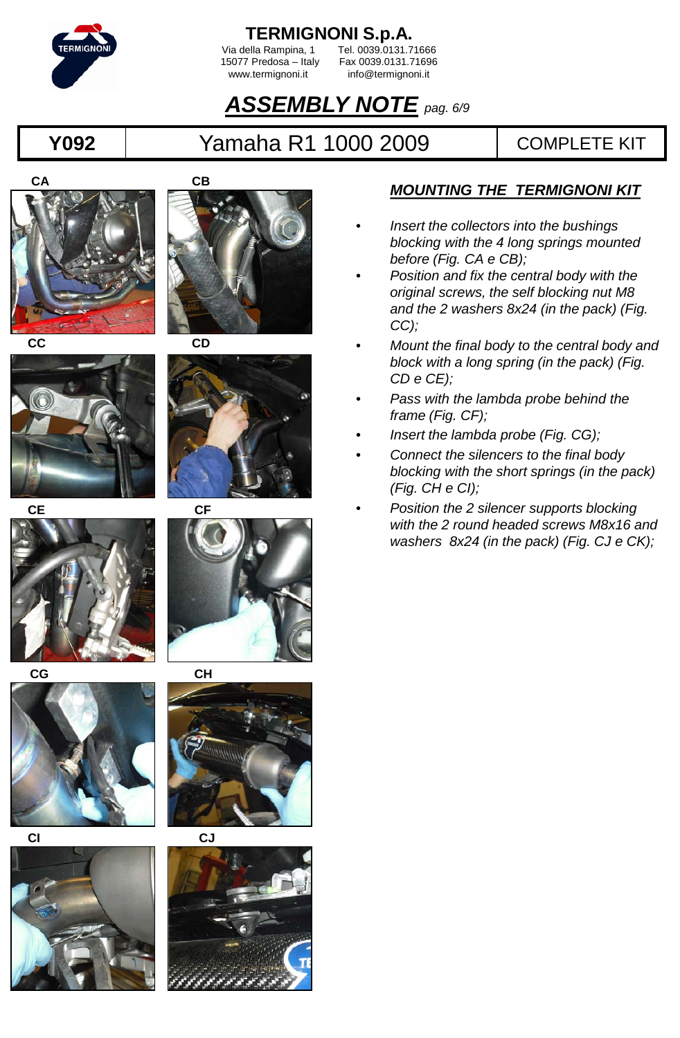

Via della Rampina, 1<br>15077 Predosa – Italy

5077 Predosa – Italy Fax 0039.0131.71696<br>www.termignoni.it info@termignoni.it info@termignoni.it

## *ASSEMBLY NOTE pag. 6/9*

### **Y092** Yamaha R1 1000 2009 COMPLETE KIT

























- *Insert the collectors into the bushings blocking with the 4 long springs mounted before (Fig. CA e CB);*
- *Position and fix the central body with the original screws, the self blocking nut M8 and the 2 washers 8x24 (in the pack) (Fig. CC);*
- *Mount the final body to the central body and block with a long spring (in the pack) (Fig. CD e CE);*
- *Pass with the lambda probe behind the frame (Fig. CF);*
- *Insert the lambda probe (Fig. CG);*
- *Connect the silencers to the final body blocking with the short springs (in the pack) (Fig. CH e CI);*
- *Position the 2 silencer supports blocking with the 2 round headed screws M8x16 and washers 8x24 (in the pack) (Fig. CJ e CK);*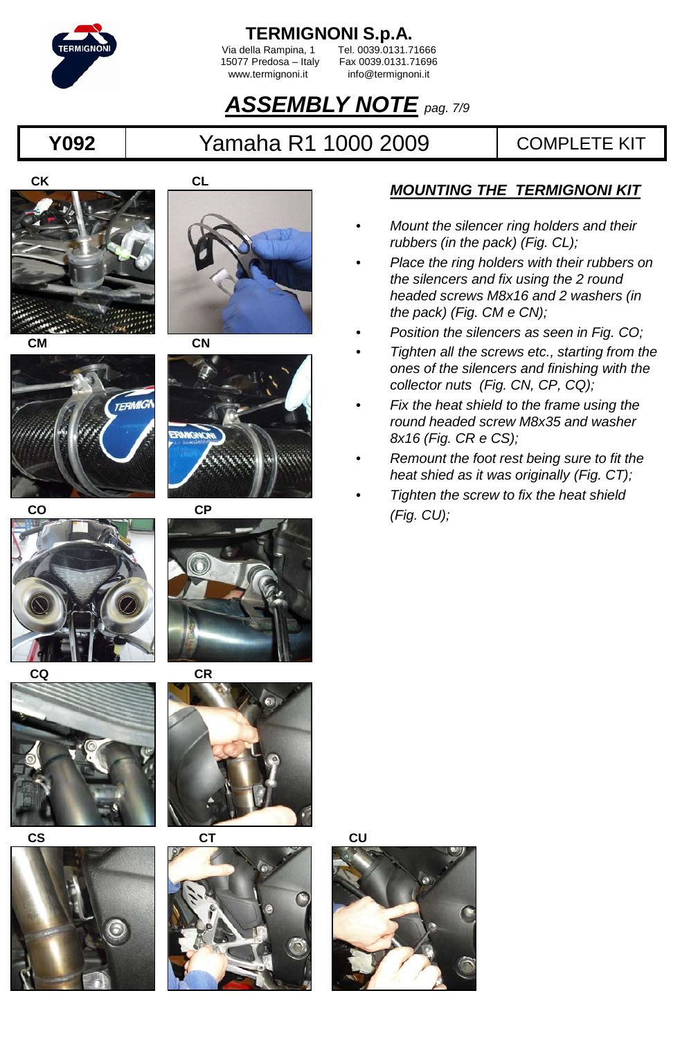

Via della Rampina, 1<br>15077 Predosa – Italy

5077 Predosa – Italy Fax 0039.0131.71696<br>www.termignoni.it info@termignoni.it info@termignoni.it

## *ASSEMBLY NOTE pag. 7/9*

### **Y092** Yamaha R1 1000 2009 COMPLETE KIT

























- *Mount the silencer ring holders and their rubbers (in the pack) (Fig. CL);*
- *Place the ring holders with their rubbers on the silencers and fix using the 2 round headed screws M8x16 and 2 washers (in the pack) (Fig. CM e CN);*
- *Position the silencers as seen in Fig. CO;*
- *Tighten all the screws etc., starting from the ones of the silencers and finishing with the collector nuts (Fig. CN, CP, CQ);*
- *Fix the heat shield to the frame using the round headed screw M8x35 and washer 8x16 (Fig. CR e CS);*
- *Remount the foot rest being sure to fit the heat shied as it was originally (Fig. CT);*
- *Tighten the screw to fix the heat shield (Fig. CU);*

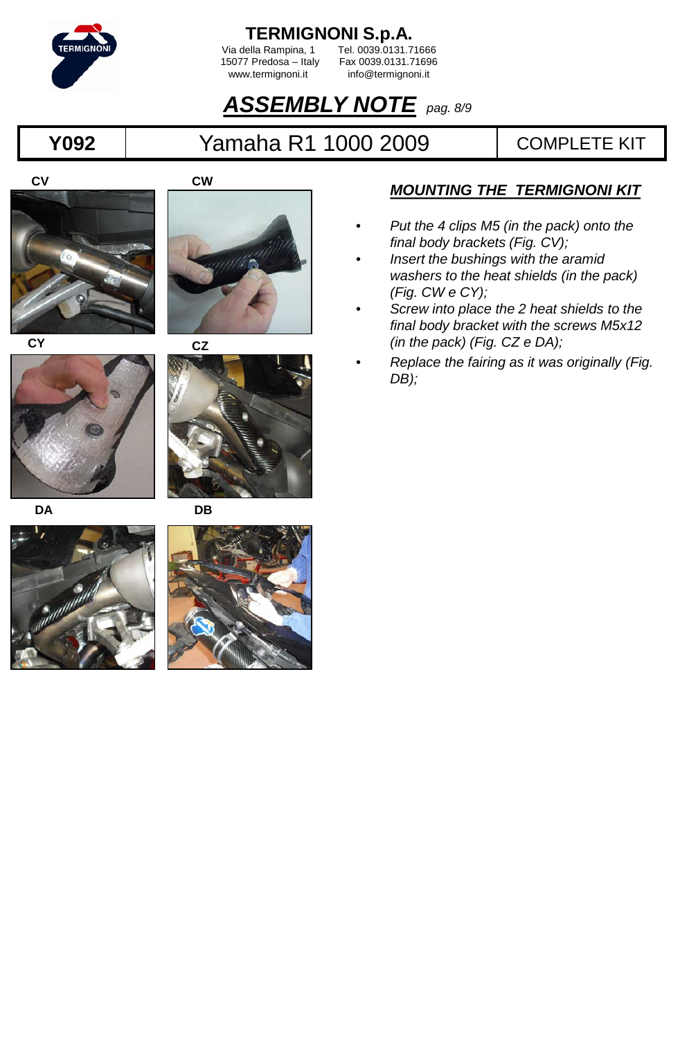

Via della Rampina, 1 Tel. 0039.0131.71666<br>15077 Predosa – Italy Fax 0039.0131.71696 5077 Predosa – Italy Fax 0039.0131.71696<br>www.termignoni.it info@termignoni.it info@termignoni.it

### *ASSEMBLY NOTE pag. 8/9*

## **Y092** Yamaha R1 1000 2009 COMPLETE KIT





**CY**







- *Put the 4 clips M5 (in the pack) onto the final body brackets (Fig. CV);*
- *Insert the bushings with the aramid washers to the heat shields (in the pack) (Fig. CW e CY);*
- *Screw into place the 2 heat shields to the final body bracket with the screws M5x12 (in the pack) (Fig. CZ e DA);*
- *Replace the fairing as it was originally (Fig. DB);*